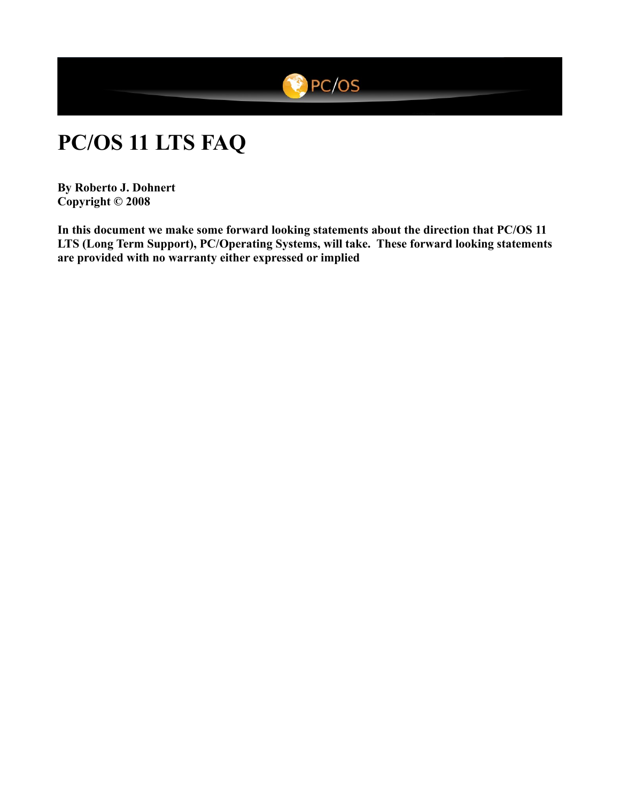

# **PC/OS 11 LTS FAQ**

**By Roberto J. Dohnert Copyright © 2008**

**In this document we make some forward looking statements about the direction that PC/OS 11 LTS (Long Term Support), PC/Operating Systems, will take. These forward looking statements are provided with no warranty either expressed or implied**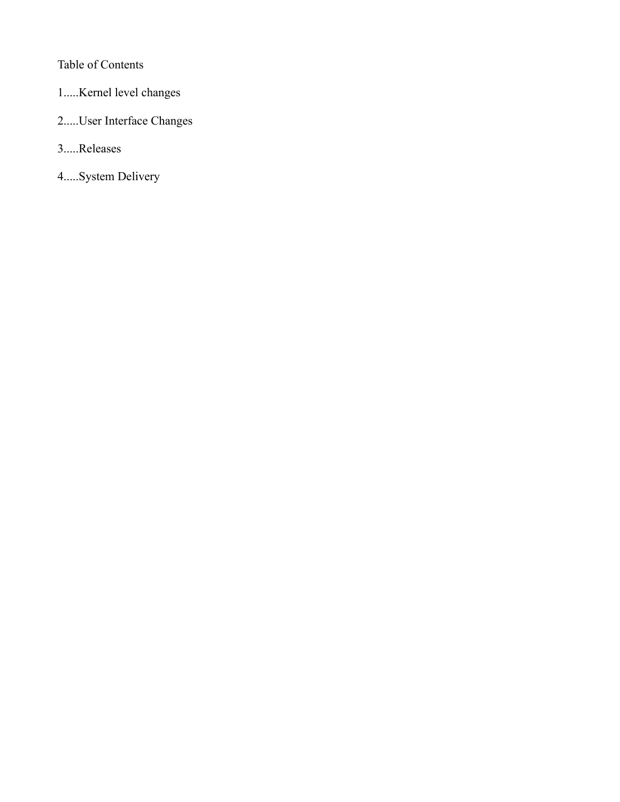# Table of Contents

- 1.....Kernel level changes
- 2.....User Interface Changes
- 3.....Releases
- 4.....System Delivery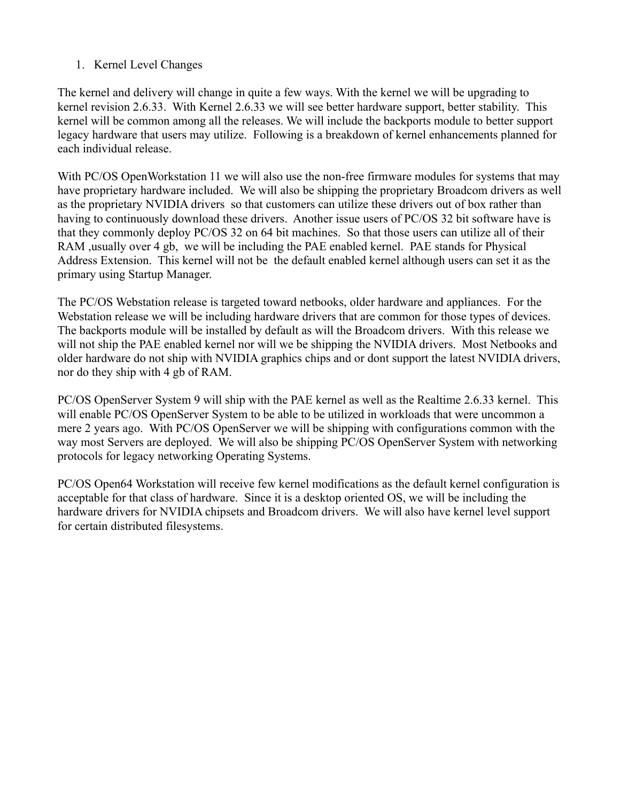## 1. Kernel Level Changes

The kernel and delivery will change in quite a few ways. With the kernel we will be upgrading to kernel revision 2.6.33. With Kernel 2.6.33 we will see better hardware support, better stability. This kernel will be common among all the releases. We will include the backports module to better support legacy hardware that users may utilize. Following is a breakdown of kernel enhancements planned for each individual release.

With PC/OS OpenWorkstation 11 we will also use the non-free firmware modules for systems that may have proprietary hardware included. We will also be shipping the proprietary Broadcom drivers as well as the proprietary NVIDIA drivers so that customers can utilize these drivers out of box rather than having to continuously download these drivers. Another issue users of PC/OS 32 bit software have is that they commonly deploy PC/OS 32 on 64 bit machines. So that those users can utilize all of their RAM ,usually over 4 gb, we will be including the PAE enabled kernel. PAE stands for Physical Address Extension. This kernel will not be the default enabled kernel although users can set it as the primary using Startup Manager.

The PC/OS Webstation release is targeted toward netbooks, older hardware and appliances. For the Webstation release we will be including hardware drivers that are common for those types of devices. The backports module will be installed by default as will the Broadcom drivers. With this release we will not ship the PAE enabled kernel nor will we be shipping the NVIDIA drivers. Most Netbooks and older hardware do not ship with NVIDIA graphics chips and or dont support the latest NVIDIA drivers, nor do they ship with 4 gb of RAM.

PC/OS OpenServer System 9 will ship with the PAE kernel as well as the Realtime 2.6.33 kernel. This will enable PC/OS OpenServer System to be able to be utilized in workloads that were uncommon a mere 2 years ago. With PC/OS OpenServer we will be shipping with configurations common with the way most Servers are deployed. We will also be shipping PC/OS OpenServer System with networking protocols for legacy networking Operating Systems.

PC/OS Open64 Workstation will receive few kernel modifications as the default kernel configuration is acceptable for that class of hardware. Since it is a desktop oriented OS, we will be including the hardware drivers for NVIDIA chipsets and Broadcom drivers. We will also have kernel level support for certain distributed filesystems.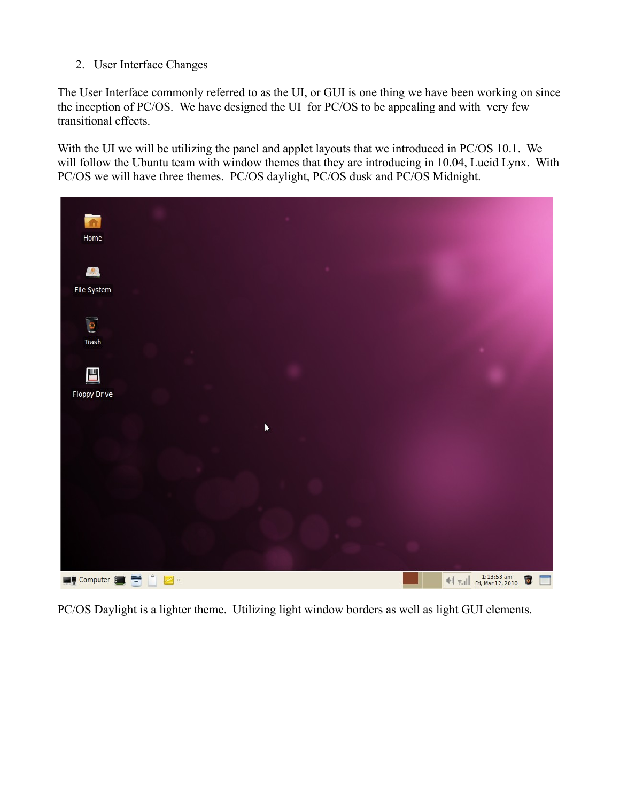2. User Interface Changes

The User Interface commonly referred to as the UI, or GUI is one thing we have been working on since the inception of PC/OS. We have designed the UI for PC/OS to be appealing and with very few transitional effects.

With the UI we will be utilizing the panel and applet layouts that we introduced in PC/OS 10.1. We will follow the Ubuntu team with window themes that they are introducing in 10.04, Lucid Lynx. With PC/OS we will have three themes. PC/OS daylight, PC/OS dusk and PC/OS Midnight.



PC/OS Daylight is a lighter theme. Utilizing light window borders as well as light GUI elements.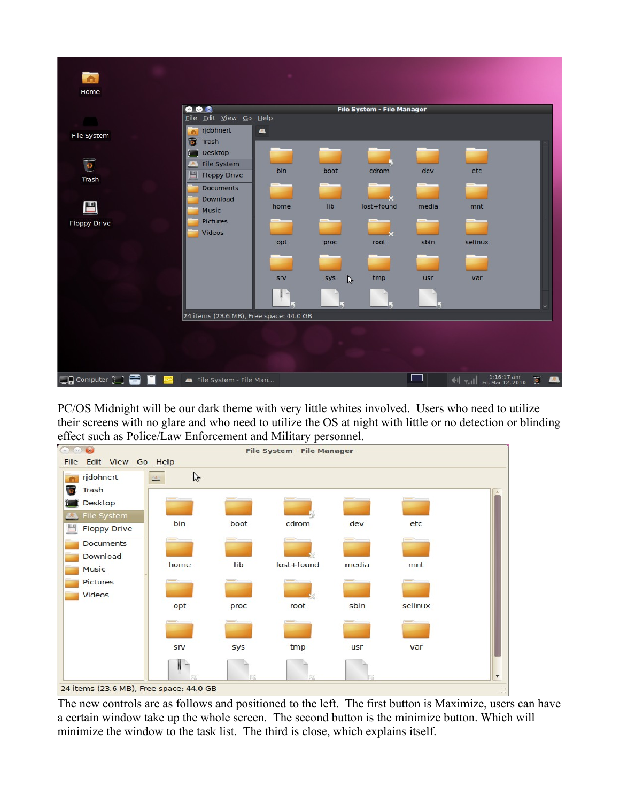

PC/OS Midnight will be our dark theme with very little whites involved. Users who need to utilize their screens with no glare and who need to utilize the OS at night with little or no detection or blinding effect such as Police/Law Enforcement and Military personnel.



The new controls are as follows and positioned to the left. The first button is Maximize, users can have a certain window take up the whole screen. The second button is the minimize button. Which will minimize the window to the task list. The third is close, which explains itself.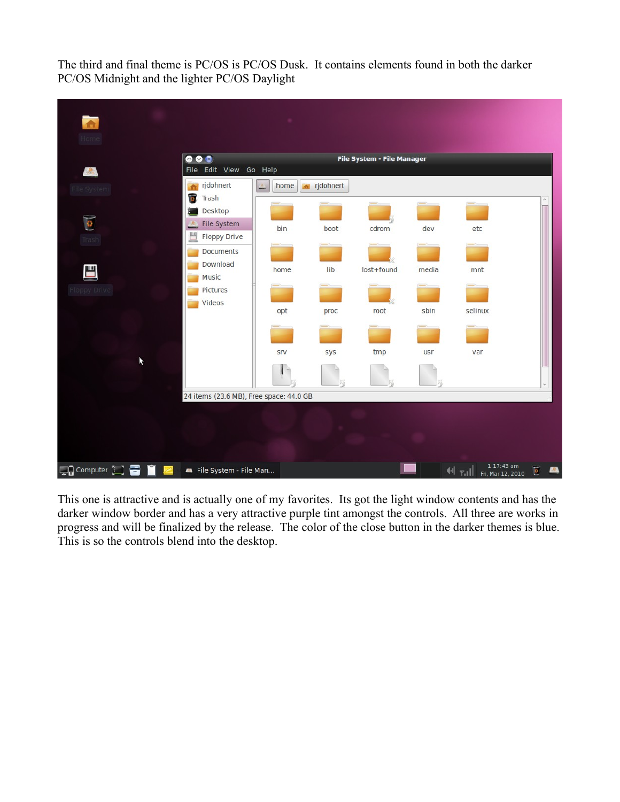The third and final theme is PC/OS is PC/OS Dusk. It contains elements found in both the darker PC/OS Midnight and the lighter PC/OS Daylight



This one is attractive and is actually one of my favorites. Its got the light window contents and has the darker window border and has a very attractive purple tint amongst the controls. All three are works in progress and will be finalized by the release. The color of the close button in the darker themes is blue. This is so the controls blend into the desktop.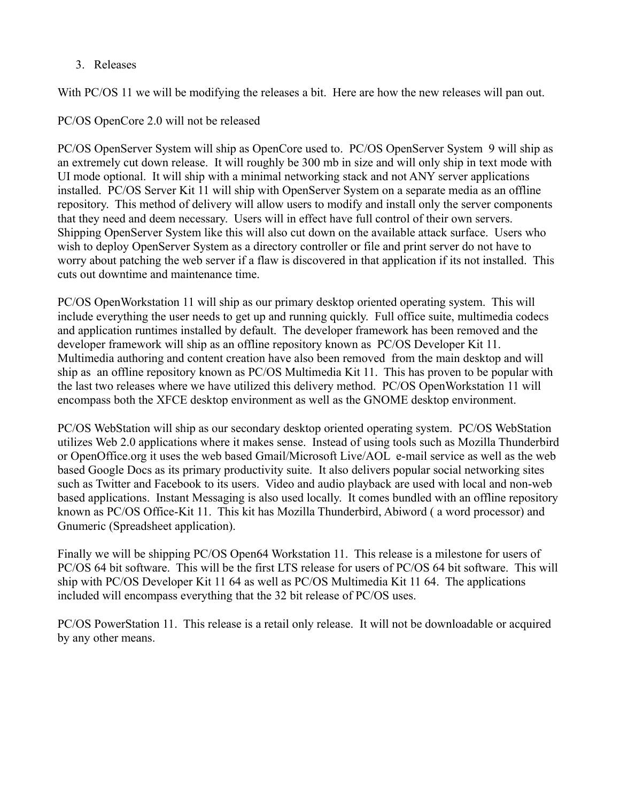### 3. Releases

With PC/OS 11 we will be modifying the releases a bit. Here are how the new releases will pan out.

PC/OS OpenCore 2.0 will not be released

PC/OS OpenServer System will ship as OpenCore used to. PC/OS OpenServer System 9 will ship as an extremely cut down release. It will roughly be 300 mb in size and will only ship in text mode with UI mode optional. It will ship with a minimal networking stack and not ANY server applications installed. PC/OS Server Kit 11 will ship with OpenServer System on a separate media as an offline repository. This method of delivery will allow users to modify and install only the server components that they need and deem necessary. Users will in effect have full control of their own servers. Shipping OpenServer System like this will also cut down on the available attack surface. Users who wish to deploy OpenServer System as a directory controller or file and print server do not have to worry about patching the web server if a flaw is discovered in that application if its not installed. This cuts out downtime and maintenance time.

PC/OS OpenWorkstation 11 will ship as our primary desktop oriented operating system. This will include everything the user needs to get up and running quickly. Full office suite, multimedia codecs and application runtimes installed by default. The developer framework has been removed and the developer framework will ship as an offline repository known as PC/OS Developer Kit 11. Multimedia authoring and content creation have also been removed from the main desktop and will ship as an offline repository known as PC/OS Multimedia Kit 11. This has proven to be popular with the last two releases where we have utilized this delivery method. PC/OS OpenWorkstation 11 will encompass both the XFCE desktop environment as well as the GNOME desktop environment.

PC/OS WebStation will ship as our secondary desktop oriented operating system. PC/OS WebStation utilizes Web 2.0 applications where it makes sense. Instead of using tools such as Mozilla Thunderbird or OpenOffice.org it uses the web based Gmail/Microsoft Live/AOL e-mail service as well as the web based Google Docs as its primary productivity suite. It also delivers popular social networking sites such as Twitter and Facebook to its users. Video and audio playback are used with local and non-web based applications. Instant Messaging is also used locally. It comes bundled with an offline repository known as PC/OS Office-Kit 11. This kit has Mozilla Thunderbird, Abiword ( a word processor) and Gnumeric (Spreadsheet application).

Finally we will be shipping PC/OS Open64 Workstation 11. This release is a milestone for users of PC/OS 64 bit software. This will be the first LTS release for users of PC/OS 64 bit software. This will ship with PC/OS Developer Kit 11 64 as well as PC/OS Multimedia Kit 11 64. The applications included will encompass everything that the 32 bit release of PC/OS uses.

PC/OS PowerStation 11. This release is a retail only release. It will not be downloadable or acquired by any other means.